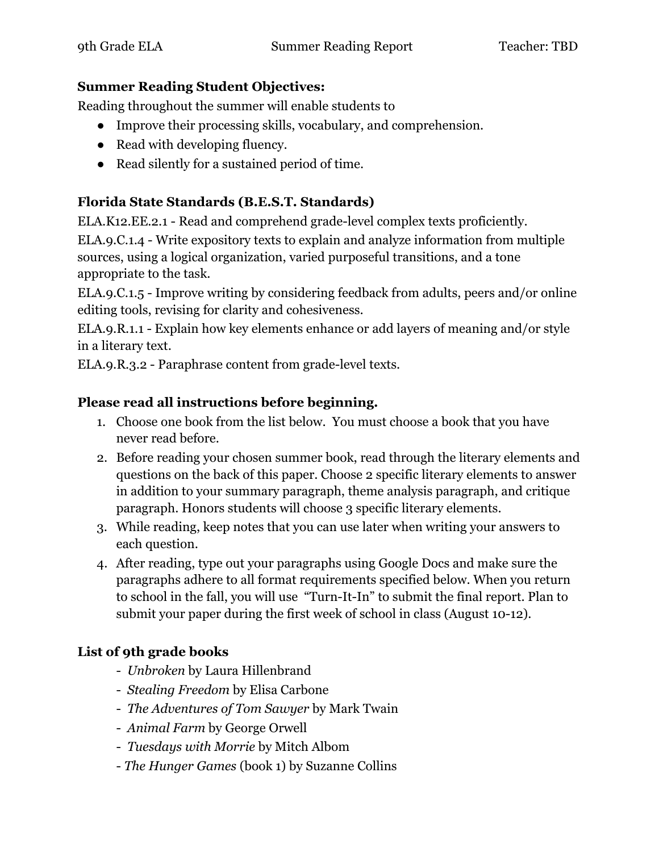#### **Summer Reading Student Objectives:**

Reading throughout the summer will enable students to

- Improve their processing skills, vocabulary, and comprehension.
- Read with developing fluency.
- Read silently for a sustained period of time.

# **Florida State Standards (B.E.S.T. Standards)**

ELA.K12.EE.2.1 - Read and comprehend grade-level complex texts proficiently.

ELA.9.C.1.4 - Write expository texts to explain and analyze information from multiple sources, using a logical organization, varied purposeful transitions, and a tone appropriate to the task.

ELA.9.C.1.5 - Improve writing by considering feedback from adults, peers and/or online editing tools, revising for clarity and cohesiveness.

ELA.9.R.1.1 - Explain how key elements enhance or add layers of meaning and/or style in a literary text.

ELA.9.R.3.2 - Paraphrase content from grade-level texts.

## **Please read all instructions before beginning.**

- 1. Choose one book from the list below. You must choose a book that you have never read before.
- 2. Before reading your chosen summer book, read through the literary elements and questions on the back of this paper. Choose 2 specific literary elements to answer in addition to your summary paragraph, theme analysis paragraph, and critique paragraph. Honors students will choose 3 specific literary elements.
- 3. While reading, keep notes that you can use later when writing your answers to each question.
- 4. After reading, type out your paragraphs using Google Docs and make sure the paragraphs adhere to all format requirements specified below. When you return to school in the fall, you will use "Turn-It-In" to submit the final report. Plan to submit your paper during the first week of school in class (August 10-12).

## **List of 9th grade books**

- *Unbroken* by Laura Hillenbrand
- *Stealing Freedom* by Elisa Carbone
- *The Adventures of Tom Sawyer* by Mark Twain
- *Animal Farm* by George Orwell
- *Tuesdays with Morrie* by Mitch Albom
- *The Hunger Games* (book 1) by Suzanne Collins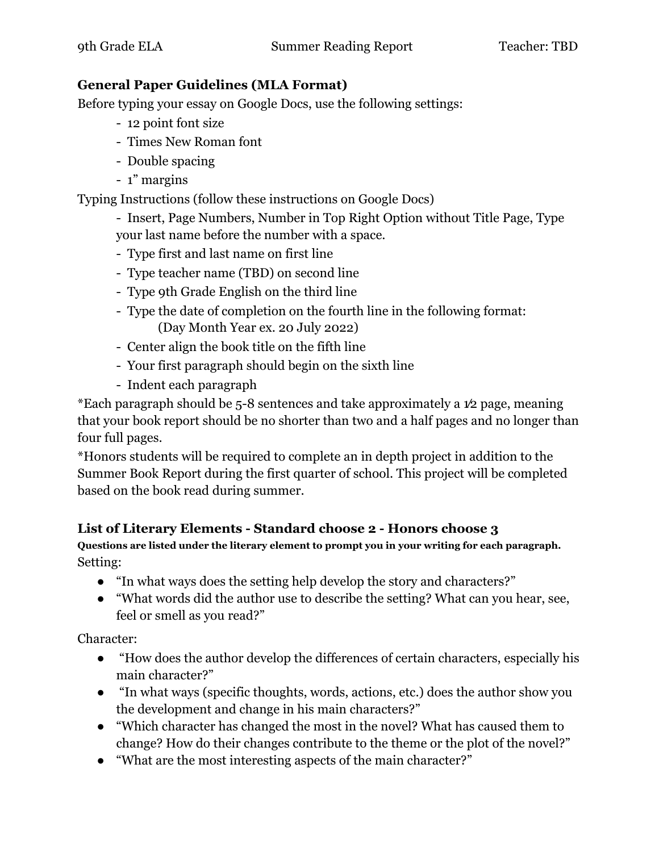#### **General Paper Guidelines (MLA Format)**

Before typing your essay on Google Docs, use the following settings:

- 12 point font size
- Times New Roman font
- Double spacing
- 1" margins

Typing Instructions (follow these instructions on Google Docs)

- Insert, Page Numbers, Number in Top Right Option without Title Page, Type your last name before the number with a space.

- Type first and last name on first line
- Type teacher name (TBD) on second line
- Type 9th Grade English on the third line
- Type the date of completion on the fourth line in the following format: (Day Month Year ex. 20 July 2022)
- Center align the book title on the fifth line
- Your first paragraph should begin on the sixth line
- Indent each paragraph

\*Each paragraph should be 5-8 sentences and take approximately a 1⁄2 page, meaning that your book report should be no shorter than two and a half pages and no longer than four full pages.

\*Honors students will be required to complete an in depth project in addition to the Summer Book Report during the first quarter of school. This project will be completed based on the book read during summer.

## **List of Literary Elements - Standard choose 2 - Honors choose 3**

**Questions are listed under the literary element to prompt you in your writing for each paragraph.** Setting:

- "In what ways does the setting help develop the story and characters?"
- "What words did the author use to describe the setting? What can you hear, see, feel or smell as you read?"

Character:

- "How does the author develop the differences of certain characters, especially his main character?"
- "In what ways (specific thoughts, words, actions, etc.) does the author show you the development and change in his main characters?"
- "Which character has changed the most in the novel? What has caused them to change? How do their changes contribute to the theme or the plot of the novel?"
- "What are the most interesting aspects of the main character?"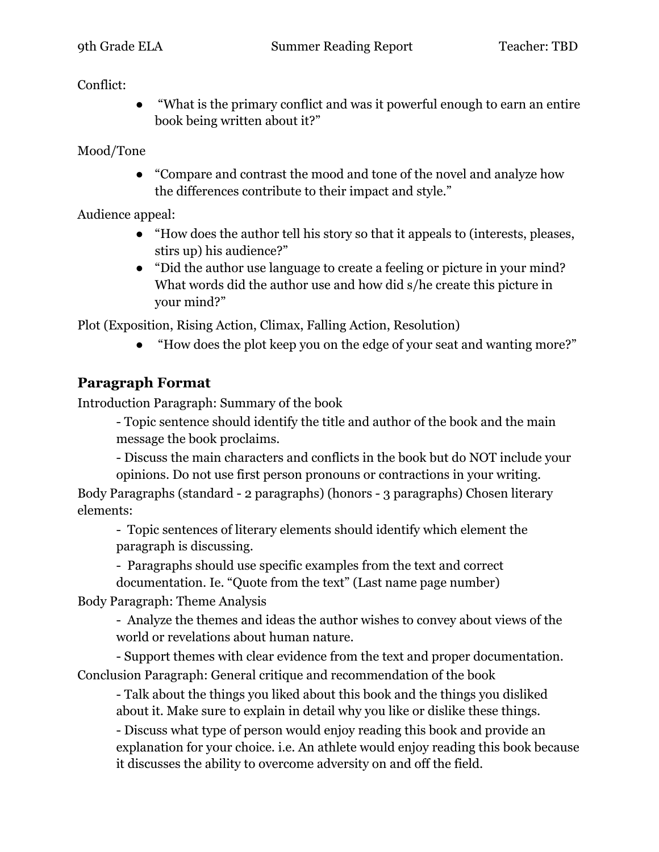#### Conflict:

"What is the primary conflict and was it powerful enough to earn an entire book being written about it?"

Mood/Tone

● "Compare and contrast the mood and tone of the novel and analyze how the differences contribute to their impact and style."

Audience appeal:

- "How does the author tell his story so that it appeals to (interests, pleases, stirs up) his audience?"
- "Did the author use language to create a feeling or picture in your mind? What words did the author use and how did s/he create this picture in your mind?"

Plot (Exposition, Rising Action, Climax, Falling Action, Resolution)

● "How does the plot keep you on the edge of your seat and wanting more?"

# **Paragraph Format**

Introduction Paragraph: Summary of the book

- Topic sentence should identify the title and author of the book and the main message the book proclaims.

- Discuss the main characters and conflicts in the book but do NOT include your opinions. Do not use first person pronouns or contractions in your writing.

Body Paragraphs (standard - 2 paragraphs) (honors - 3 paragraphs) Chosen literary elements:

- Topic sentences of literary elements should identify which element the paragraph is discussing.

- Paragraphs should use specific examples from the text and correct

documentation. Ie. "Quote from the text" (Last name page number)

Body Paragraph: Theme Analysis

- Analyze the themes and ideas the author wishes to convey about views of the world or revelations about human nature.

- Support themes with clear evidence from the text and proper documentation. Conclusion Paragraph: General critique and recommendation of the book

- Talk about the things you liked about this book and the things you disliked about it. Make sure to explain in detail why you like or dislike these things.

- Discuss what type of person would enjoy reading this book and provide an explanation for your choice. i.e. An athlete would enjoy reading this book because it discusses the ability to overcome adversity on and off the field.